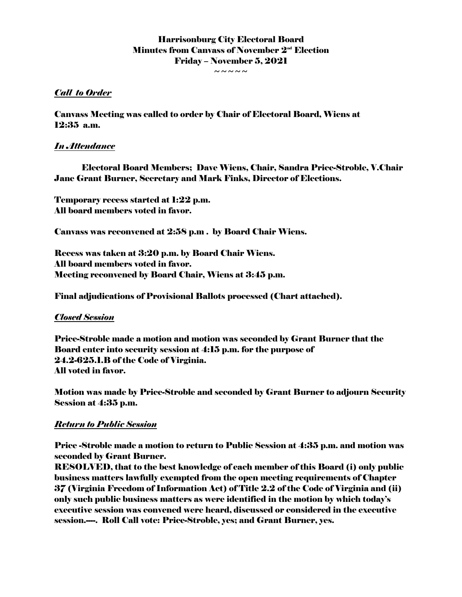# Harrisonburg City Electoral Board Minutes from Canvass of November  $2<sup>nd</sup>$  Election Friday – November 5, 2021

 $\sim$   $\sim$   $\sim$   $\sim$ 

#### *Call to Order*

Canvass Meeting was called to order by Chair of Electoral Board, Wiens at 12:35 a.m.

### *In Attendance*

Electoral Board Members; Dave Wiens, Chair, Sandra Price-Stroble, V.Chair Jane Grant Burner, Secretary and Mark Finks, Director of Elections.

Temporary recess started at 1:22 p.m. All board members voted in favor.

Canvass was reconvened at 2:58 p.m . by Board Chair Wiens.

Recess was taken at 3:20 p.m. by Board Chair Wiens. All board members voted in favor. Meeting reconvened by Board Chair, Wiens at 3:45 p.m.

Final adjudications of Provisional Ballots processed (Chart attached).

#### *Closed Session*

Price-Stroble made a motion and motion was seconded by Grant Burner that the Board enter into security session at 4:15 p.m. for the purpose of 24.2-625.1.B of the Code of Virginia. All voted in favor.

Motion was made by Price-Stroble and seconded by Grant Burner to adjourn Security Session at 4:35 p.m.

## *Return to Public Session*

Price -Stroble made a motion to return to Public Session at 4:35 p.m. and motion was seconded by Grant Burner.

RESOLVED, that to the best knowledge of each member of this Board (i) only public business matters lawfully exempted from the open meeting requirements of Chapter 37 (Virginia Freedom of Information Act) of Title 2.2 of the Code of Virginia and (ii) only such public business matters as were identified in the motion by which today's executive session was convened were heard, discussed or considered in the executive session.---. Roll Call vote: Price-Stroble, yes; and Grant Burner, yes.